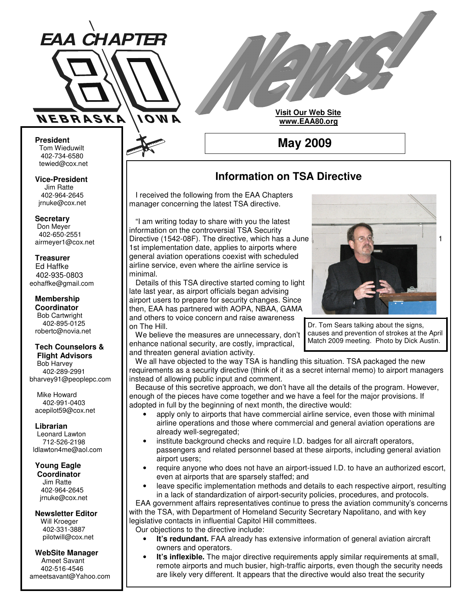

**Visit Our Web Site www.EAA80.org**

**May 2009**

**President** Tom Wieduwilt 402-734-6580 tewied@cox.net

**Vice-President** Jim Ratte 402-964-2645 jrnuke@cox.net

**Secretary**

Don Meyer 402-650-2551 airmeyer1@cox.net

#### **Treasurer** Ed Haffke 402-935-0803 eohaffke@gmail.com

**Membership Coordinator** Bob Cartwright 402-895-0125 robertc@novia.net

#### **Tech Counselors & Flight Advisors**

Bob Harvey 402-289-2991 bharvey91@peoplepc.com

Mike Howard 402-991-0403 acepilot59@cox.net

**Librarian** Leonard Lawton 712-526-2198 ldlawton4me@aol.com

**Young Eagle Coordinator**

Jim Ratte 402-964-2645 jrnuke@cox.net

**Newsletter Editor** Will Kroeger 402-331-3887 pilotwill@cox.net

**WebSite Manager** Ameet Savant 402-516-4546 ameetsavant@Yahoo.com

# **Information on TSA Directive**

I received the following from the EAA Chapters manager concerning the latest TSA directive.

"I am writing today to share with you the latest information on the controversial TSA Security Directive (1542-08F). The directive, which has a June 1 1st implementation date, applies to airports where general aviation operations coexist with scheduled airline service, even where the airline service is minimal.

Details of this TSA directive started coming to light late last year, as airport officials began advising airport users to prepare for security changes. Since then, EAA has partnered with AOPA, NBAA, GAMA and others to voice concern and raise awareness on The Hill.

We believe the measures are unnecessary, don't enhance national security, are costly, impractical, and threaten general aviation activity.



Dr. Tom Sears talking about the signs, causes and prevention of strokes at the April Match 2009 meeting. Photo by Dick Austin.

We all have objected to the way TSA is handling this situation. TSA packaged the new requirements as a security directive (think of it as a secret internal memo) to airport managers instead of allowing public input and comment.

Because of this secretive approach, we don't have all the details of the program. However, enough of the pieces have come together and we have a feel for the major provisions. If adopted in full by the beginning of next month, the directive would:

- apply only to airports that have commercial airline service, even those with minimal airline operations and those where commercial and general aviation operations are already well-segregated;
- institute background checks and require I.D. badges for all aircraft operators, passengers and related personnel based at these airports, including general aviation airport users;
- require anyone who does not have an airport-issued I.D. to have an authorized escort, even at airports that are sparsely staffed; and
- leave specific implementation methods and details to each respective airport, resulting in a lack of standardization of airport-security policies, procedures, and protocols.

EAA government affairs representatives continue to press the aviation community's concerns with the TSA, with Department of Homeland Security Secretary Napolitano, and with key legislative contacts in influential Capitol Hill committees.

Our objections to the directive include:

- **It's redundant.** FAA already has extensive information of general aviation aircraft owners and operators.
- **It's inflexible.** The major directive requirements apply similar requirements at small, remote airports and much busier, high-traffic airports, even though the security needs are likely very different. It appears that the directive would also treat the security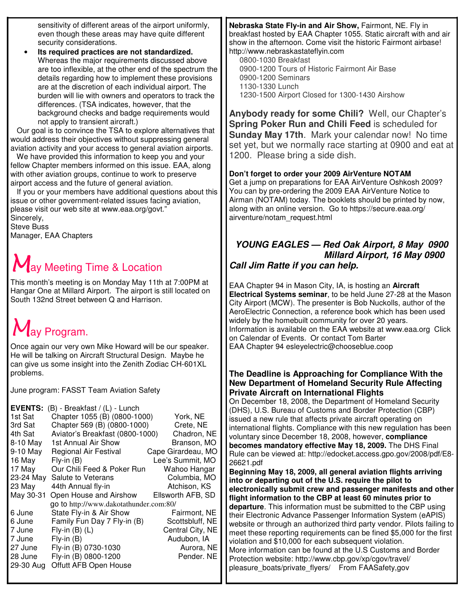sensitivity of different areas of the airport uniformly, even though these areas may have quite different security considerations.

• **Its required practices are not standardized.** Whereas the major requirements discussed above are too inflexible, at the other end of the spectrum the details regarding how to implement these provisions are at the discretion of each individual airport. The burden will lie with owners and operators to track the differences. (TSA indicates, however, that the background checks and badge requirements would not apply to transient aircraft.)

Our goal is to convince the TSA to explore alternatives that would address their objectives without suppressing general aviation activity and your access to general aviation airports.

We have provided this information to keep you and your fellow Chapter members informed on this issue. EAA, along with other aviation groups, continue to work to preserve airport access and the future of general aviation.

If you or your members have additional questions about this issue or other government-related issues facing aviation, please visit our web site at www.eaa.org/govt." Sincerely,

Steve Buss Manager, EAA Chapters

# $M$ ay Meeting Time & Location

This month's meeting is on Monday May 11th at 7:00PM at Hangar One at Millard Airport. The airport is still located on South 132nd Street between Q and Harrison.

# $M$ av Program.

Once again our very own Mike Howard will be our speaker. He will be talking on Aircraft Structural Design. Maybe he can give us some insight into the Zenith Zodiac CH-601XL problems.

June program: FASST Team Aviation Safety

| <b>EVENTS:</b><br>(B) - Breakfast / (L) - Lunch |                    |
|-------------------------------------------------|--------------------|
| Chapter 1055 (B) (0800-1000)<br>1st Sat         | York, NE           |
| Chapter 569 (B) (0800-1000)<br>3rd Sat          | Crete, NE          |
| Aviator's Breakfast (0800-1000)<br>4th Sat      | Chadron, NE        |
| 1st Annual Air Show<br>8-10 May                 | Branson, MO        |
| 9-10 May<br>Regional Air Festival               | Cape Girardeau, MO |
| 16 May<br>$Fly$ -in $(B)$                       | Lee's Summit. MO   |
| 17 May<br>Our Chili Feed & Poker Run            | Wahoo Hangar       |
| 23-24 May<br>Salute to Veterans                 | Columbia, MO       |
| 23 May<br>44th Annual fly-in                    | Atchison, KS       |
| Open House and Airshow<br>May 30-31             | Ellsworth AFB, SD  |
| go to http://www.dakotathunder.com:80/          |                    |
| State Fly-in & Air Show<br>6 June               | Fairmont, NE       |
| Family Fun Day 7 Fly-in (B)<br>6 June           | Scottsbluff, NE    |
| 7 June<br>Fly-in $(B)$ $(L)$                    | Central City, NE   |
| $Fly$ -in $(B)$<br>7 June                       | Audubon, IA        |
| 27 June<br>Fly-in (B) 0730-1030                 | Aurora, NE         |
| Fly-in (B) 0800-1200<br>28 June                 | Pender. NE         |
| Offutt AFB Open House<br>29-30 Aug              |                    |

**Nebraska State Fly-in and Air Show,** Fairmont, NE. Fly in breakfast hosted by EAA Chapter 1055. Static aircraft with and air show in the afternoon. Come visit the historic Fairmont airbase! http://www.nebraskastateflyin.com

0800-1030 Breakfast 0900-1200 Tours of Historic Fairmont Air Base 0900-1200 Seminars 1130-1330 Lunch 1230-1500 Airport Closed for 1300-1430 Airshow

**Anybody ready for some Chili?** Well, our Chapter's **Spring Poker Run and Chili Feed** is scheduled for **Sunday May 17th**. Mark your calendar now! No time set yet, but we normally race starting at 0900 and eat at 1200. Please bring a side dish.

# **Don't forget to order your 2009 AirVenture NOTAM**

Get a jump on preparations for EAA AirVenture Oshkosh 2009? You can by pre-ordering the 2009 EAA AirVenture Notice to Airman (NOTAM) today. The booklets should be printed by now, along with an online version. Go to https://secure.eaa.org/ airventure/notam\_request.html

# *YOUNG EAGLES — Red Oak Airport, 8 May 0900 Millard Airport, 16 May 0900 Call Jim Ratte if you can help.*

EAA Chapter 94 in Mason City, IA, is hosting an **Aircraft Electrical Systems seminar**, to be held June 27-28 at the Mason City Airport (MCW). The presenter is Bob Nuckolls, author of the AeroElectric Connection, a reference book which has been used widely by the homebuilt community for over 20 years. Information is available on the EAA website at www.eaa.org Click on Calendar of Events. Or contact Tom Barter EAA Chapter 94 esleyelectric@chooseblue.coop

### **The Deadline is Approaching for Compliance With the New Department of Homeland Security Rule Affecting Private Aircraft on International Flights**

On December 18, 2008, the Department of Homeland Security (DHS), U.S. Bureau of Customs and Border Protection (CBP) issued a new rule that affects private aircraft operating on international flights. Compliance with this new regulation has been voluntary since December 18, 2008, however, **compliance becomes mandatory effective May 18, 2009.** The DHS Final Rule can be viewed at: http://edocket.access.gpo.gov/2008/pdf/E8- 26621.pdf

**Beginning May 18, 2009, all general aviation flights arriving into or departing out of the U.S. require the pilot to electronically submit crew and passenger manifests and other flight information to the CBP at least 60 minutes prior to departure**. This information must be submitted to the CBP using their Electronic Advance Passenger Information System (eAPIS) website or through an authorized third party vendor. Pilots failing to meet these reporting requirements can be fined \$5,000 for the first violation and \$10,000 for each subsequent violation. More information can be found at the U.S Customs and Border Protection website: http://www.cbp.gov/xp/cgov/travel/ pleasure\_boats/private\_flyers/ From FAASafety,gov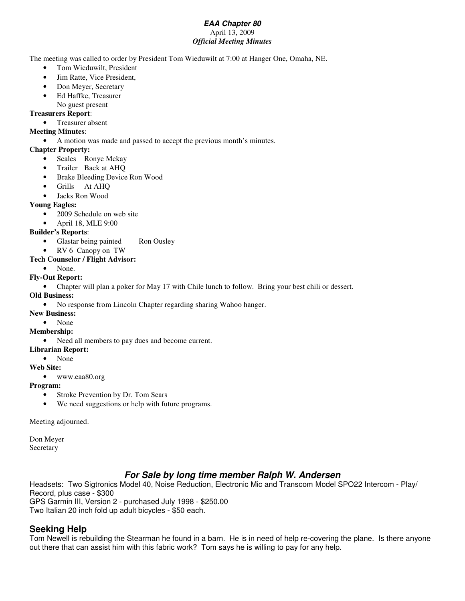#### *EAA Chapter 80* April 13, 2009 *Official Meeting Minutes*

The meeting was called to order by President Tom Wieduwilt at 7:00 at Hanger One, Omaha, NE.

- Tom Wieduwilt, President
- Jim Ratte, Vice President,
- Don Meyer, Secretary
- Ed Haffke, Treasurer
	- No guest present

#### **Treasurers Report**:

• Treasurer absent

#### **Meeting Minutes**:

• A motion was made and passed to accept the previous month's minutes.

#### **Chapter Property:**

- Scales Ronye Mckay
- Trailer Back at AHQ
- Brake Bleeding Device Ron Wood
- Grills At AHQ
- Jacks Ron Wood

#### **Young Eagles:**

- 2009 Schedule on web site
- April 18, MLE 9:00

#### **Builder's Reports**:

- Glastar being painted Ron Ousley
- RV 6 Canopy on TW

#### **Tech Counselor / Flight Advisor:**

None.

#### **Fly-Out Report:**

• Chapter will plan a poker for May 17 with Chile lunch to follow. Bring your best chili or dessert.

#### **Old Business:**

- No response from Lincoln Chapter regarding sharing Wahoo hanger.
- **New Business:**

#### • None

#### **Membership:**

- Need all members to pay dues and become current.
- **Librarian Report:**

#### • None

#### **Web Site:**

• www.eaa80.org

#### **Program:**

- Stroke Prevention by Dr. Tom Sears
- We need suggestions or help with future programs.

Meeting adjourned.

Don Meyer Secretary

# *For Sale by long time member Ralph W. Andersen*

Headsets: Two Sigtronics Model 40, Noise Reduction, Electronic Mic and Transcom Model SPO22 Intercom - Play/ Record, plus case - \$300 GPS Garmin III, Version 2 - purchased July 1998 - \$250.00 Two Italian 20 inch fold up adult bicycles - \$50 each.

# **Seeking Help**

Tom Newell is rebuilding the Stearman he found in a barn. He is in need of help re-covering the plane. Is there anyone out there that can assist him with this fabric work? Tom says he is willing to pay for any help.